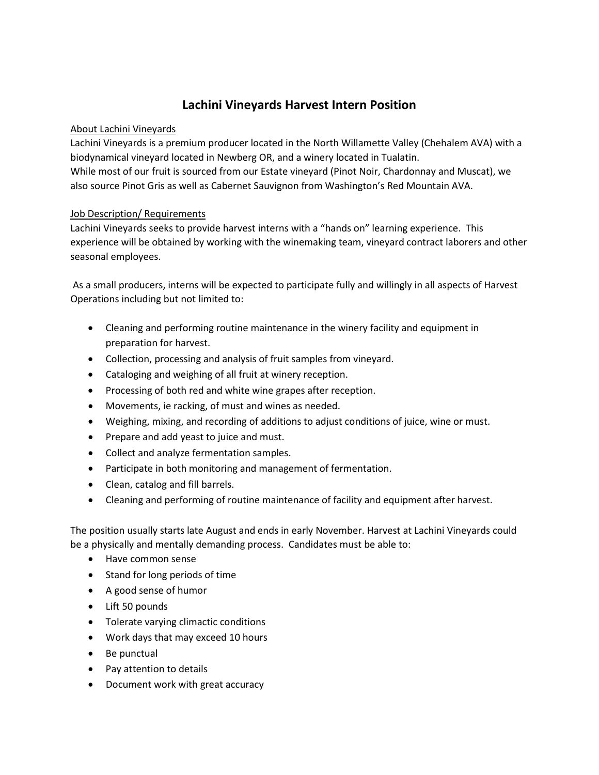## **Lachini Vineyards Harvest Intern Position**

## About Lachini Vineyards

Lachini Vineyards is a premium producer located in the North Willamette Valley (Chehalem AVA) with a biodynamical vineyard located in Newberg OR, and a winery located in Tualatin. While most of our fruit is sourced from our Estate vineyard (Pinot Noir, Chardonnay and Muscat), we also source Pinot Gris as well as Cabernet Sauvignon from Washington's Red Mountain AVA.

## Job Description/ Requirements

Lachini Vineyards seeks to provide harvest interns with a "hands on" learning experience. This experience will be obtained by working with the winemaking team, vineyard contract laborers and other seasonal employees.

As a small producers, interns will be expected to participate fully and willingly in all aspects of Harvest Operations including but not limited to:

- Cleaning and performing routine maintenance in the winery facility and equipment in preparation for harvest.
- Collection, processing and analysis of fruit samples from vineyard.
- Cataloging and weighing of all fruit at winery reception.
- Processing of both red and white wine grapes after reception.
- Movements, ie racking, of must and wines as needed.
- Weighing, mixing, and recording of additions to adjust conditions of juice, wine or must.
- Prepare and add yeast to juice and must.
- Collect and analyze fermentation samples.
- Participate in both monitoring and management of fermentation.
- Clean, catalog and fill barrels.
- Cleaning and performing of routine maintenance of facility and equipment after harvest.

The position usually starts late August and ends in early November. Harvest at Lachini Vineyards could be a physically and mentally demanding process. Candidates must be able to:

- Have common sense
- Stand for long periods of time
- A good sense of humor
- Lift 50 pounds
- Tolerate varying climactic conditions
- Work days that may exceed 10 hours
- Be punctual
- Pay attention to details
- Document work with great accuracy